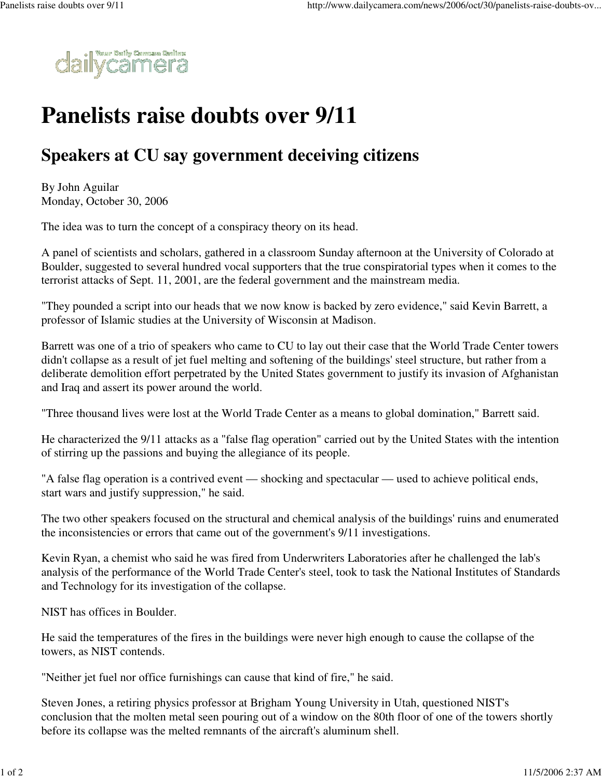

## **Panelists raise doubts over 9/11**

## **Speakers at CU say government deceiving citizens**

By John Aguilar Monday, October 30, 2006

The idea was to turn the concept of a conspiracy theory on its head.

A panel of scientists and scholars, gathered in a classroom Sunday afternoon at the University of Colorado at Boulder, suggested to several hundred vocal supporters that the true conspiratorial types when it comes to the terrorist attacks of Sept. 11, 2001, are the federal government and the mainstream media.

"They pounded a script into our heads that we now know is backed by zero evidence," said Kevin Barrett, a professor of Islamic studies at the University of Wisconsin at Madison.

Barrett was one of a trio of speakers who came to CU to lay out their case that the World Trade Center towers didn't collapse as a result of jet fuel melting and softening of the buildings' steel structure, but rather from a deliberate demolition effort perpetrated by the United States government to justify its invasion of Afghanistan and Iraq and assert its power around the world.

"Three thousand lives were lost at the World Trade Center as a means to global domination," Barrett said.

He characterized the 9/11 attacks as a "false flag operation" carried out by the United States with the intention of stirring up the passions and buying the allegiance of its people.

"A false flag operation is a contrived event — shocking and spectacular — used to achieve political ends, start wars and justify suppression," he said.

The two other speakers focused on the structural and chemical analysis of the buildings' ruins and enumerated the inconsistencies or errors that came out of the government's 9/11 investigations.

Kevin Ryan, a chemist who said he was fired from Underwriters Laboratories after he challenged the lab's analysis of the performance of the World Trade Center's steel, took to task the National Institutes of Standards and Technology for its investigation of the collapse.

NIST has offices in Boulder.

He said the temperatures of the fires in the buildings were never high enough to cause the collapse of the towers, as NIST contends.

"Neither jet fuel nor office furnishings can cause that kind of fire," he said.

Steven Jones, a retiring physics professor at Brigham Young University in Utah, questioned NIST's conclusion that the molten metal seen pouring out of a window on the 80th floor of one of the towers shortly before its collapse was the melted remnants of the aircraft's aluminum shell.